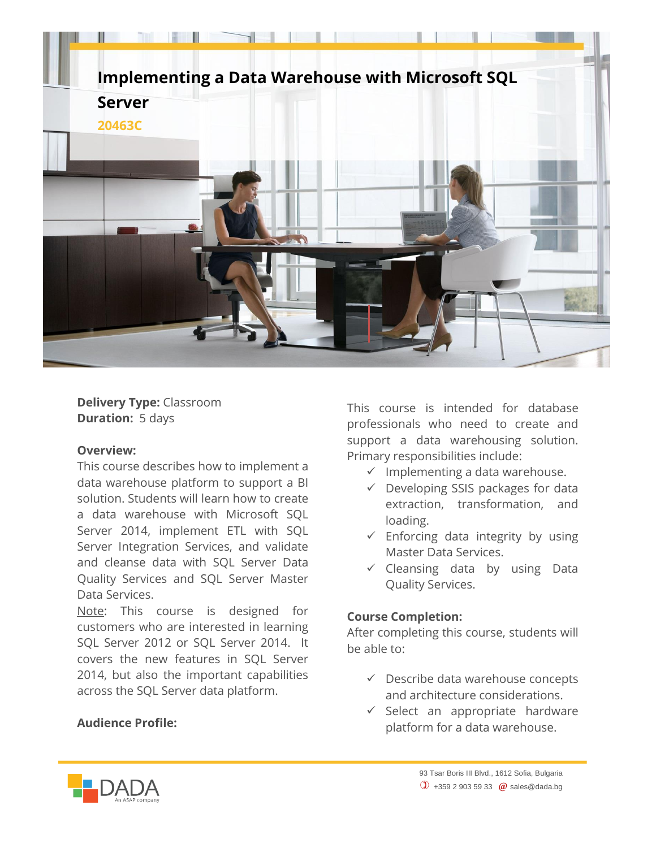

**Delivery Type:** Classroom **Duration:** 5 days

## **Overview:**

This course describes how to implement a data warehouse platform to support a BI solution. Students will learn how to create a data warehouse with Microsoft SQL Server 2014, implement ETL with SQL Server Integration Services, and validate and cleanse data with SQL Server Data Quality Services and SQL Server Master Data Services.

Note: This course is designed for customers who are interested in learning SOL Server 2012 or SOL Server 2014. It covers the new features in SQL Server 2014, but also the important capabilities across the SQL Server data platform.

## **Audience Profile:**

This course is intended for database professionals who need to create and support a data warehousing solution. Primary responsibilities include:

- $\checkmark$  Implementing a data warehouse.
- $\checkmark$  Developing SSIS packages for data extraction, transformation, and loading.
- $\checkmark$  Enforcing data integrity by using Master Data Services.
- $\checkmark$  Cleansing data by using Data Quality Services.

## **Course Completion:**

After completing this course, students will be able to:

- $\checkmark$  Describe data warehouse concepts and architecture considerations.
- $\checkmark$  Select an appropriate hardware platform for a data warehouse.